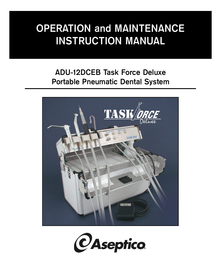# **OPERATION and MAINTENANCE INSTRUCTION MANUAL**

# **ADU-12DCEB Task Force Deluxe Portable Pneumatic Dental System**



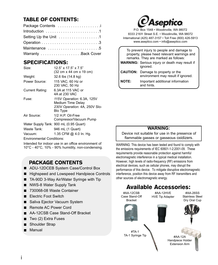# TABLE OF CONTENTS:

| Package Contents      |
|-----------------------|
|                       |
| Setting Up the Unit 1 |
|                       |
| Maintenance 5         |
| Warranty Back Cover   |

# SPECIFICATIONS:

| $12.5$ " x $17.5$ " x $7.5$ "                                                                       |
|-----------------------------------------------------------------------------------------------------|
| (32 cm x 44 cm x 19 cm)                                                                             |
| 32.6 lbs (14.8 kg)                                                                                  |
| 115 VAC, 60 Hz or<br>230 VAC, 50 Hz                                                                 |
| 6.3A at 115 VAC or<br>4A at 230 VAC                                                                 |
| 115V Operation: 6.3A, 125V<br>Medium Time Delay<br>230V Operation: 4A, 250V Slo-<br><b>Blo Type</b> |
| 1/2 H.P. Oil-Free<br>Compressor/Vacuum Pump                                                         |
| Water Supply Tank: 900 mL (0.95 Quart)                                                              |
| 946 mL (1 Quart)                                                                                    |
| 1.35 CFM @ 4.0 In. Hg.                                                                              |
|                                                                                                     |

Environmental Conditions:

Intended for indoor use in an office environment of 10°C - 40°C, 10% - 90% humidity, non-condensing.

# PACKAGE CONTENTS

- ADU-12DCEB System Case/Control Box
- Highspeed and Lowspeed Handpiece Controls
- TA-90D 3-Way Air/Water Syringe with Tip
- NWS-8 Water Supply Tank
- 730068-08 Waste Container
- **E** Flectric Foot Switch
- Saliva Ejector Vacuum System
- Remote AC Power Cord
- AA-12CSB Case Stand-Off Bracket
- Two (2) Extra Fuses  $\blacksquare$
- Shoulder Strap
- **Manual**



P.O. Box 1548 • Woodinville, WA 98072 8333 216<sup>th</sup> Street S.E. • Woodinville, WA 98072 International (425) 487-3157 • Toll Free (800) 426-5913 www.aseptico.com • info@aseptico.com

|              | To prevent injury to people and damage to<br>property, please heed relevant warnings and<br>remarks. They are marked as follows:<br><b>WARNING:</b> Serious injury or death may result if<br>ignored. |
|--------------|-------------------------------------------------------------------------------------------------------------------------------------------------------------------------------------------------------|
|              | <b>CAUTION:</b> Damage to property or the<br>environment may result if ignored.                                                                                                                       |
| <b>NOTE:</b> | Important additional information<br>and hints                                                                                                                                                         |

### **WARNING:**

Device not suitable for use in the presence of flammable gasses or gasseous oxidizers.

WARNING: This device has been tested and found to comply with the emissions requirements of IEC 60601-1-2:2001-09. These requirements provide reasonable protection against harmful electromagnetic interference in a typical medical installation. However, high levels of radio-frequency (RF) emissions from electrical devices, such as cellular phones, may disrupt the performance of this device. To mitigate disruptive electromagnetic interference, position this device away from RF transmitters and other sources of electromagnetic energy.

# Available Accessories:

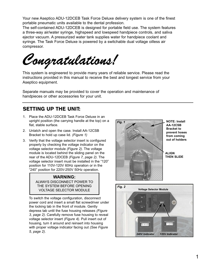Your new Aseptico ADU-12DCEB Task Force Deluxe delivery system is one of the finest portable pneumatic units available to the dental profession.

The self-contained ADU-12DCEB is designed for portable field use. The system features a three-way air/water syringe, highspeed and lowspeed handpiece controls, and saliva ejector vacuum. A pressurized water tank supplies water for handpiece coolant and syringe. The Task Force Deluxe is powered by a switchable dual voltage oilless air compressor.

*Congratulations!*

This system is engineered to provide many years of reliable service. Please read the instructions provided in this manual to receive the best and longest service from your Aseptico equipment.

Separate manuals may be provided to cover the operation and maintenance of handpieces or other accessories for your unit.

# SETTING UP THE UNIT:

- 1. Place the ADU-12DCEB Task Force Deluxe in an upright position (the carrying handle at the top) on a flat, stable surface.
- 2. Unlatch and open the case. Install AA-12CSB Bracket to hold up case lid. *(Figure 1)*
- 3. Verify that the voltage selector insert is configured properly by checking the voltage indicator on the voltage selector module *(Figure 2)*. The voltage module is located behind the sliding panel on the rear of the ADU-12DCEB *(Figure 7, page 2)*. The voltage selector insert must be installed in the "120" position for 110V-120V 60Hz operation or in the "240" position for 220V-250V 50Hz operation.

#### **WARNING:** ALWAYS DISCONNECT POWER TO THE SYSTEM BEFORE OPENING VOLTAGE SELECTOR MODULE

To switch the voltage configuration, disconnect power cord and insert a small flat screwdriver under the locking tab in the front of module. Gently depress tab until the fuse housing releases *(Figure 3, page 2)*. Carefully remove fuse housing to reveal voltage selector insert *(Figure 4).* Pull insert out of housing, turn it around and reinsert into housing with proper voltage indicator facing out *(See Figure 5, page 2)*.



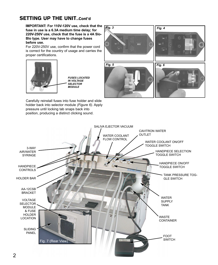# SETTING UP THE UNIT...Cont'd

**IMPORTANT: For 110V-120V use, check that the fuse in use is a 6.3A medium time delay; for 220V-250V use, check that the fuse is a 4A Slo-Blo type. User may have to change fuses before use.**

For 220V-250V use, confirm that the power cord is correct for the country of usage and carries the proper certifications.



*FUSES LOCATED*

Carefully reinstall fuses into fuse holder and slide



*Fig. 5*

*Fig. 3 Fig. 4*

*Fig. 6*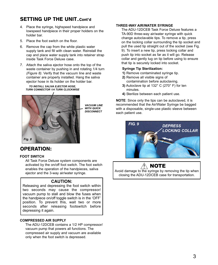# SETTING UP THE UNIT..Cont'd

- 4. Place the syringe, highspeed handpiece and lowspeed handpiece in their proper holders on the holder bar.
- 5. Place the foot switch on the floor.
- 6. Remove the cap from the white plastic water supply tank and fill with clean water. Reinstall the cap and place water supply tank into retainer strap inside Task Force Deluxe case.
- 7. Attach the saliva ejector hose onto the top of the waste container by pushing in and rotating 1/4 turn *(Figure 8)*. Verify that the vacuum line and waste container are properly installed. Hang the saliva ejector hose in its holder on the holder bar.

*TO INSTALL SALIVA EJECTOR HOSE, TURN CONNECTOR 1/4 TURN CLOCKWISE*



*VACUUM LINE WITH QUICK DISCONNECT*

### OPERATION:

#### **FOOT SWITCH**

All Task Force Deluxe system components are activated by the on/off foot switch. The foot switch enables the operation of the handpieces, saliva ejector and the 3-way air/water syringe.

#### **CAUTION:**

Releasing and depressing the foot switch within two seconds may cause the compressor/ vacuum pump to stall and blow the fuses when the handpiece on/off toggle switch is in the 'OFF' position. To prevent this, wait two or more seconds after releasing footswitch before depressing it again.

#### **COMPRESSED AIR SUPPLY**

The ADU-12DCEB contains a 1/2 HP compressor/ vacuum pump that powers all functions. The compressed air supply and vacuum are available only when the foot switch is depressed.

#### **THREE-WAY AIR/WATER SYRINGE**

The ADU-12DCEB Task Force Deluxe features a TA-90D three-way air/water syringe with quick change autoclavable tips. To remove a tip, press on the locking collar surrounding the tip socket and pull the used tip straight out of the socket (see Fig. 9). To insert a new tip, press locking collar and push tip into socket as far as it will go. Release collar and gently tug on tip before using to ensure that tip is securely locked into socket.

#### **Syringe Tip Sterilization:**

- **1)** Remove contaminated syringe tip.
- **2)** Remove all visible signs of contamination before autoclaving.
- **3)** Autoclave tip at 132° C (270° F) for ten minutes.
- **4)** Sterilize between each patient use.

**NOTE**: Since only the tips can be autoclaved, it is recommended that the Air/Water Syringe be bagged with a disposable, single-use plastic sleeve between each patient use.



### $\wedge$  note

Avoid damage to the syringe by removing the tip when closing the ADU-12DCEB case for transportation.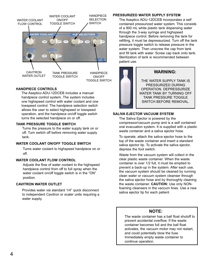

#### **HANDPIECE CONTROLS**

The Aseptico ADU-12DCEB includes a manual handpiece control system. The system includes one highspeed control with water coolant and one lowspeed control. The handpiece selection switch allows the user to select highspeed or lowspeed operation, and the handpiece on/off toggle switch turns the selected handpiece on or off.

#### **TANK PRESSURE TOGGLE SWITCH**

Turns the pressure to the water supply tank on or off. Turn switch off before removing water supply tank.

#### **WATER COOLANT ON/OFF TOGGLE SWITCH**

Turns water coolant to highspeed handpiece on or off.

#### **WATER COOLANT FLOW CONTROL**

Adjusts the flow of water coolant to the highspeed handpiece control from off to full spray when the water coolant on/off toggle switch is in the "ON" position.

#### **CAVITRON WATER OUTLET**

Provides water via standard 1/4" quick disconnect to independent Cavitron or scaler units requiring a water supply.

#### **PRESSURIZED WATER SUPPLY SYSTEM**

The Aseptico ADU-12DCEB incorporates a self contained pressurized water system. This consists of a 900 mL white plastic tank dispensing water through the 3-way syringe and highspeed handpiece control. Before removing the tank for refilling, it must be depressurized. Turn off the tank pressure toggle switch to release pressure in the water system. Then unscrew the cap from tank and fill tank with water. Screw cap back onto tank. Sterilization of tank is recommended between patient use.



### **WARNING:**

THE WATER SUPPLY TANK IS PRESSURIZED DURING OPERATION. DEPRESSURIZE WATER TANK BY TURNING OFF TANK PRESSURE TOGGLE SWITCH BEFORE REMOVAL.

#### **SALIVA EJECTOR VACUUM SYSTEM**

The Saliva Ejector is powered by the compressor/vacuum pump and is a self contained oral evacuation system. It is supplied with a plastic waste container and a saliva ejector hose.

To operate, attach the saliva ejector hose to the top of the waste container and insert a standard saliva ejector tip. To activate the saliva ejector, depress the foot switch.

Waste from the vacuum system will collect in the clear plastic waste container. When the waste container is over 1/2 full, it must be emptied to prevent a back-up in the system. After each use, the vacuum system should be cleaned by running clean water or vacuum system cleanser through the saliva ejector hose and by thoroughly cleaning the waste container. **CAUTION:** Use only NONfoaming cleansers in the vaccum lines. Use a new saliva ejector tip for each patient.

### **NOTE:**

The waste container has a ball float shutoff to prevent accidental overflow. If the waste container becomes full and the ball float activates, the vacuum motor may not restart, and could potentially blow the fuse. Immediately empty waste container to continue operation.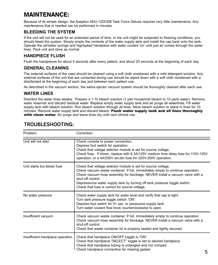# MAINTENANCE:

Because of its simple design, the Aseptico ADU-12DCEB Task Force Deluxe requires very little maintenance. Any maintenance that is needed can be performed in minutes.

### **BLEEDING THE SYSTEM**

If the unit will not be used for an extended period of time, or the unit might be subjected to freezing conditions, you should bleed the system. Simply empty the contents of the water supply tank and install the cap back onto the tank. Operate the air/water syringe and highspeed handpiece with water coolant 'on' until just air comes through the water lines. Pack unit and store as normal.

### **HANDPIECE FLUSH**

Flush the handpieces for about 5 seconds after every patient, and about 20 seconds at the beginning of each day.

### **GENERAL CLEANING**

The external surfaces of the case should be cleaned using a soft cloth moistened with a mild detergent solution. Any external surfaces of the unit that are contacted during use should be wiped down with a soft cloth moistened with a disinfectant at the beginning of each day and between each patient use.

As described in the vacuum section, the saliva ejector vacuum system should be thoroughly cleaned after each use.

### **WATER LINES**

Disinfect the water lines weekly. Prepare a 1:10 bleach solution (1 part household bleach to 10 parts water). Remove water reservoir and discard residual water. Replace empty water supply tank and air purge all waterlines. Fill water supply tank with bleach solution. Run bleach solution through all lines. Allow bleach solution to stand in lines for 10 minutes. Remove water supply tank and discard bleach. Flush water supply tank and all lines thoroughly with clean water. Air purge and leave lines dry until next clinical use.

| Problem:                         | Correction:                                                                                                                                                                                                                                                                                                                                                                           |
|----------------------------------|---------------------------------------------------------------------------------------------------------------------------------------------------------------------------------------------------------------------------------------------------------------------------------------------------------------------------------------------------------------------------------------|
| Unit will not start              | Check console to power connection.<br>Depress foot switch for operation.<br>Check that voltage selector module is set for source voltage.<br>Check fuse. If blown, replace with 6.3A/125V medium time delay fuse for 110V-120V<br>operation, or a 4A/250V slo-blo fuse for 220V-250V operation.                                                                                       |
| Unit starts but blows fuse       | Check that voltage selector module is set for source voltage.<br>Check vacuum waste container. If full, immediately empty to continue operation.<br>Check vacuum hose assembly for blockage. NEVER install a vacuum valve with a<br>shut-off control.<br>Depressurize water supply tank by turning off tank pressure toggle switch.<br>Check that fuse is correct for source voltage. |
| No water pressure                | Check water supply tank for water level and verify that cap is tight.<br>Turn tank pressure toggle switch "ON".<br>Depress foot switch for 5+ sec. to pressurize supply tank.<br>Turn water coolant flow knob counterclockwise to open.                                                                                                                                               |
| Insufficient vacuum              | Check vacuum waste container. If full, immediately empty to continue operation.<br>Check vacuum hose assembly for blockage. NEVER install a vacuum valve with a<br>shut-off control.<br>Check that waste container lid is properly seated and tightly secured.                                                                                                                        |
| Insufficient handpiece operation | Check that handpiece ON/OFF toggle is "ON".<br>Check that handpiece "SELECT" toggle is set to desired handpiece.<br>Check that handpiece tubing is untangled and not crimped.<br>Check handpiece connection for missing gasket.<br>c                                                                                                                                                  |

# **TROUBLESHOOTING:**